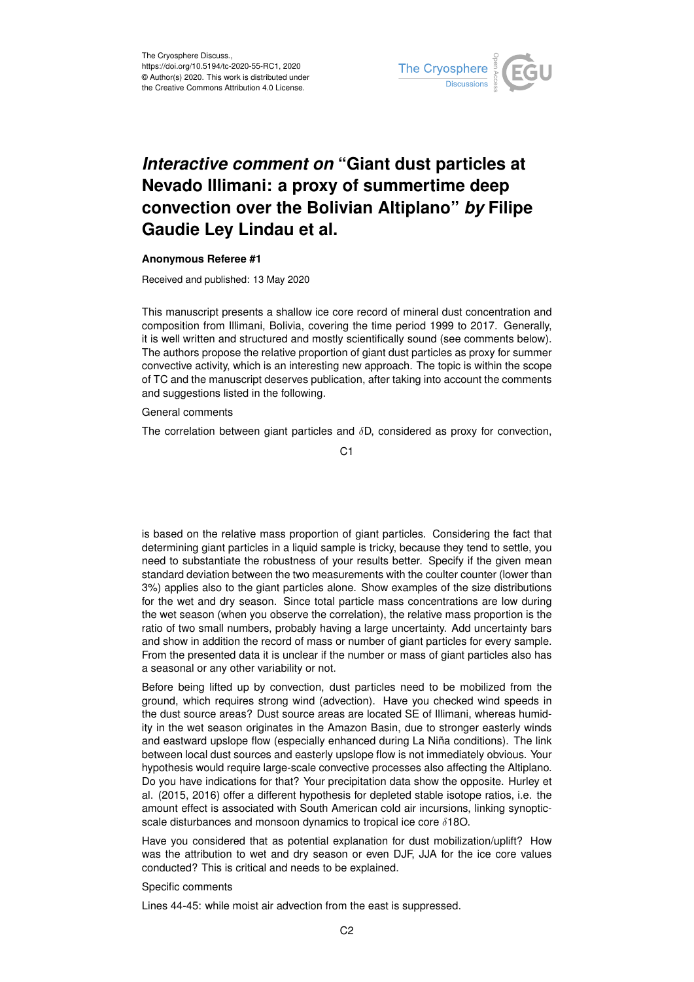

## *Interactive comment on* **"Giant dust particles at Nevado Illimani: a proxy of summertime deep convection over the Bolivian Altiplano"** *by* **Filipe Gaudie Ley Lindau et al.**

## **Anonymous Referee #1**

Received and published: 13 May 2020

This manuscript presents a shallow ice core record of mineral dust concentration and composition from Illimani, Bolivia, covering the time period 1999 to 2017. Generally, it is well written and structured and mostly scientifically sound (see comments below). The authors propose the relative proportion of giant dust particles as proxy for summer convective activity, which is an interesting new approach. The topic is within the scope of TC and the manuscript deserves publication, after taking into account the comments and suggestions listed in the following.

General comments

The correlation between giant particles and  $\delta D$ , considered as proxy for convection,

C<sub>1</sub>

is based on the relative mass proportion of giant particles. Considering the fact that determining giant particles in a liquid sample is tricky, because they tend to settle, you need to substantiate the robustness of your results better. Specify if the given mean standard deviation between the two measurements with the coulter counter (lower than 3%) applies also to the giant particles alone. Show examples of the size distributions for the wet and dry season. Since total particle mass concentrations are low during the wet season (when you observe the correlation), the relative mass proportion is the ratio of two small numbers, probably having a large uncertainty. Add uncertainty bars and show in addition the record of mass or number of giant particles for every sample. From the presented data it is unclear if the number or mass of giant particles also has a seasonal or any other variability or not.

Before being lifted up by convection, dust particles need to be mobilized from the ground, which requires strong wind (advection). Have you checked wind speeds in the dust source areas? Dust source areas are located SE of Illimani, whereas humidity in the wet season originates in the Amazon Basin, due to stronger easterly winds and eastward upslope flow (especially enhanced during La Niña conditions). The link between local dust sources and easterly upslope flow is not immediately obvious. Your hypothesis would require large-scale convective processes also affecting the Altiplano. Do you have indications for that? Your precipitation data show the opposite. Hurley et al. (2015, 2016) offer a different hypothesis for depleted stable isotope ratios, i.e. the amount effect is associated with South American cold air incursions, linking synopticscale disturbances and monsoon dynamics to tropical ice core δ18O.

Have you considered that as potential explanation for dust mobilization/uplift? How was the attribution to wet and dry season or even DJF, JJA for the ice core values conducted? This is critical and needs to be explained.

## Specific comments

Lines 44-45: while moist air advection from the east is suppressed.